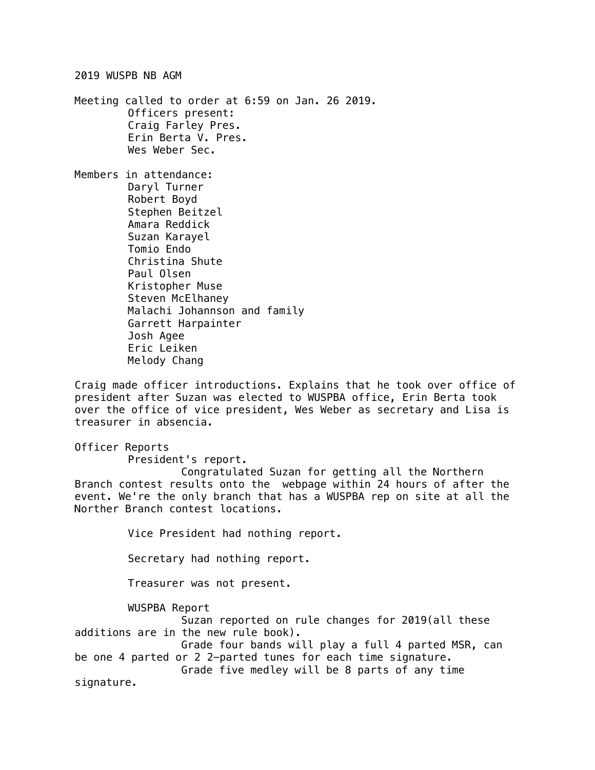2019 WUSPB NB AGM

Meeting called to order at 6:59 on Jan. 26 2019. Officers present: Craig Farley Pres. Erin Berta V. Pres. Wes Weber Sec.

Members in attendance: Daryl Turner Robert Boyd Stephen Beitzel Amara Reddick Suzan Karayel Tomio Endo Christina Shute Paul Olsen Kristopher Muse Steven McElhaney Malachi Johannson and family Garrett Harpainter Josh Agee Eric Leiken Melody Chang

Craig made officer introductions. Explains that he took over office of president after Suzan was elected to WUSPBA office, Erin Berta took over the office of vice president, Wes Weber as secretary and Lisa is treasurer in absencia.

Officer Reports

President's report.

Congratulated Suzan for getting all the Northern Branch contest results onto the webpage within 24 hours of after the event. We're the only branch that has a WUSPBA rep on site at all the Norther Branch contest locations.

Vice President had nothing report.

Secretary had nothing report.

Treasurer was not present.

WUSPBA Report

Suzan reported on rule changes for 2019(all these additions are in the new rule book). Grade four bands will play a full 4 parted MSR, can

be one 4 parted or 2 2-parted tunes for each time signature. Grade five medley will be 8 parts of any time

signature.